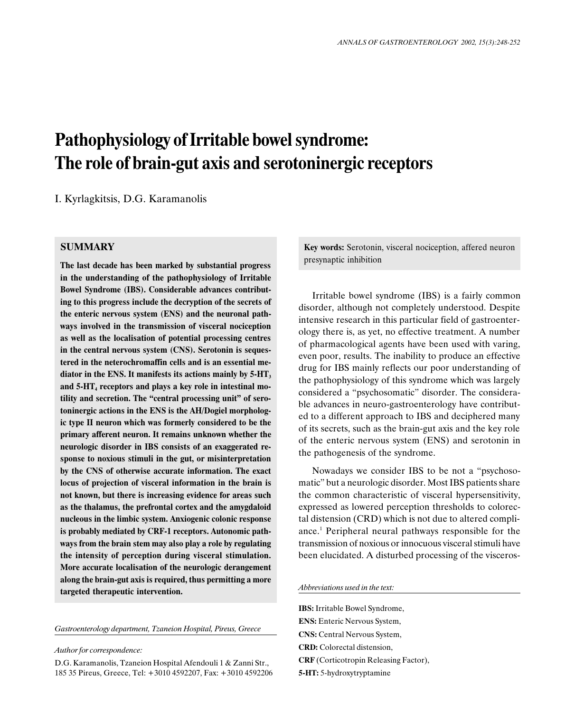# Pathophysiology of Irritable bowel syndrome: The role of brain-gut axis and serotoninergic receptors

I. Kyrlagkitsis, D.G. Karamanolis

## **SUMMARY**

The last decade has been marked by substantial progress in the understanding of the pathophysiology of Irritable Bowel Syndrome (IBS). Considerable advances contributing to this progress include the decryption of the secrets of the enteric nervous system (ENS) and the neuronal pathways involved in the transmission of visceral nociception as well as the localisation of potential processing centres in the central nervous system (CNS). Serotonin is sequestered in the neterochromaffin cells and is an essential mediator in the ENS. It manifests its actions mainly by  $5-HT<sub>3</sub>$ and 5-HT<sub>4</sub> receptors and plays a key role in intestinal motility and secretion. The "central processing unit" of serotoninergic actions in the ENS is the AH/Dogiel morphologic type II neuron which was formerly considered to be the primary afferent neuron. It remains unknown whether the neurologic disorder in IBS consists of an exaggerated response to noxious stimuli in the gut, or misinterpretation by the CNS of otherwise accurate information. The exact locus of projection of visceral information in the brain is not known, but there is increasing evidence for areas such as the thalamus, the prefrontal cortex and the amygdaloid nucleous in the limbic system. Anxiogenic colonic response is probably mediated by CRF-1 receptors. Autonomic pathways from the brain stem may also play a role by regulating the intensity of perception during visceral stimulation. More accurate localisation of the neurologic derangement along the brain-gut axis is required, thus permitting a more targeted therapeutic intervention.

Gastroenterology department, Tzaneion Hospital, Pireus, Greece

Author for correspondence:

D.G. Karamanolis, Tzaneion Hospital Afendouli 1 & Zanni Str., 185 35 Pireus, Greece, Tel: +3010 4592207, Fax: +3010 4592206 Key words: Serotonin, visceral nociception, affered neuron presynaptic inhibition

Irritable bowel syndrome (IBS) is a fairly common disorder, although not completely understood. Despite intensive research in this particular field of gastroenterology there is, as yet, no effective treatment. A number of pharmacological agents have been used with varing, even poor, results. The inability to produce an effective drug for IBS mainly reflects our poor understanding of the pathophysiology of this syndrome which was largely considered a "psychosomatic" disorder. The considerable advances in neuro-gastroenterology have contributed to a different approach to IBS and deciphered many of its secrets, such as the brain-gut axis and the key role of the enteric nervous system (ENS) and serotonin in the pathogenesis of the syndrome.

Nowadays we consider IBS to be not a "psychosomatic" but a neurologic disorder. Most IBS patients share the common characteristic of visceral hypersensitivity, expressed as lowered perception thresholds to colorectal distension (CRD) which is not due to altered compliance.1 Peripheral neural pathways responsible for the transmission of noxious or innocuous visceral stimuli have been elucidated. A disturbed processing of the visceros-

Abbreviations used in the text:

IBS: Irritable Bowel Syndrome, ENS: Enteric Nervous System, CNS: Central Nervous System, CRD: Colorectal distension, CRF (Corticotropin Releasing Factor), 5-HT: 5-hydroxytryptamine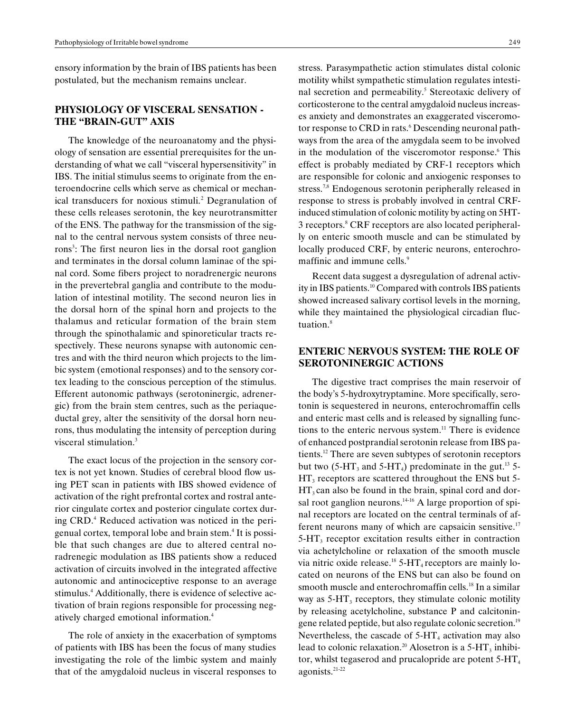ensory information by the brain of IBS patients has been postulated, but the mechanism remains unclear.

## PHYSIOLOGY OF VISCERAL SENSATION - THE "BRAIN-GUT" AXIS

The knowledge of the neuroanatomy and the physiology of sensation are essential prerequisites for the understanding of what we call "visceral hypersensitivity" in IBS. The initial stimulus seems to originate from the enteroendocrine cells which serve as chemical or mechanical transducers for noxious stimuli.<sup>2</sup> Degranulation of these cells releases serotonin, the key neurotransmitter of the ENS. The pathway for the transmission of the signal to the central nervous system consists of three neurons<sup>3</sup>: The first neuron lies in the dorsal root ganglion and terminates in the dorsal column laminae of the spinal cord. Some fibers project to noradrenergic neurons in the prevertebral ganglia and contribute to the modulation of intestinal motility. The second neuron lies in the dorsal horn of the spinal horn and projects to the thalamus and reticular formation of the brain stem through the spinothalamic and spinoreticular tracts respectively. These neurons synapse with autonomic centres and with the third neuron which projects to the limbic system (emotional responses) and to the sensory cortex leading to the conscious perception of the stimulus. Efferent autonomic pathways (serotoninergic, adrenergic) from the brain stem centres, such as the periaqueductal grey, alter the sensitivity of the dorsal horn neurons, thus modulating the intensity of perception during visceral stimulation.<sup>3</sup>

The exact locus of the projection in the sensory cortex is not yet known. Studies of cerebral blood flow using PET scan in patients with IBS showed evidence of activation of the right prefrontal cortex and rostral anterior cingulate cortex and posterior cingulate cortex during CRD.<sup>4</sup> Reduced activation was noticed in the perigenual cortex, temporal lobe and brain stem.<sup>4</sup> It is possible that such changes are due to altered central noradrenegic modulation as IBS patients show a reduced activation of circuits involved in the integrated affective autonomic and antinociceptive response to an average stimulus.<sup>4</sup> Additionally, there is evidence of selective activation of brain regions responsible for processing negatively charged emotional information.4

The role of anxiety in the exacerbation of symptoms of patients with IBS has been the focus of many studies investigating the role of the limbic system and mainly that of the amygdaloid nucleus in visceral responses to

stress. Parasympathetic action stimulates distal colonic motility whilst sympathetic stimulation regulates intestinal secretion and permeability.<sup>5</sup> Stereotaxic delivery of corticosterone to the central amygdaloid nucleus increases anxiety and demonstrates an exaggerated visceromotor response to CRD in rats.<sup>6</sup> Descending neuronal pathways from the area of the amygdala seem to be involved in the modulation of the visceromotor response.<sup>6</sup> This effect is probably mediated by CRF-1 receptors which are responsible for colonic and anxiogenic responses to stress.<sup>7,8</sup> Endogenous serotonin peripherally released in response to stress is probably involved in central CRFinduced stimulation of colonic motility by acting on 5HT-3 receptors.<sup>8</sup> CRF receptors are also located peripherally on enteric smooth muscle and can be stimulated by locally produced CRF, by enteric neurons, enterochromaffinic and immune cells.<sup>9</sup>

Recent data suggest a dysregulation of adrenal activity in IBS patients.10 Compared with controls IBS patients showed increased salivary cortisol levels in the morning, while they maintained the physiological circadian fluctuation.<sup>8</sup>

## ENTERIC NERVOUS SYSTEM: THE ROLE OF SEROTONINERGIC ACTIONS

The digestive tract comprises the main reservoir of the body's 5-hydroxytryptamine. More specifically, serotonin is sequestered in neurons, enterochromaffin cells and enteric mast cells and is released by signalling functions to the enteric nervous system. $11$  There is evidence of enhanced postprandial serotonin release from IBS patients.12 There are seven subtypes of serotonin receptors but two (5-HT<sub>3</sub> and 5-HT<sub>4</sub>) predominate in the gut.<sup>13</sup> 5- $HT_3$  receptors are scattered throughout the ENS but 5- $HT_3$  can also be found in the brain, spinal cord and dorsal root ganglion neurons. $14-16$  A large proportion of spinal receptors are located on the central terminals of afferent neurons many of which are capsaicin sensitive.<sup>17</sup>  $5-HT<sub>3</sub>$  receptor excitation results either in contraction via achetylcholine or relaxation of the smooth muscle via nitric oxide release.<sup>18</sup> 5-HT<sub>4</sub> receptors are mainly located on neurons of the ENS but can also be found on smooth muscle and enterochromaffin cells.<sup>18</sup> In a similar way as  $5-\text{HT}_3$  receptors, they stimulate colonic motility by releasing acetylcholine, substance P and calcitoningene related peptide, but also regulate colonic secretion.19 Nevertheless, the cascade of  $5-\text{HT}_4$  activation may also lead to colonic relaxation.<sup>20</sup> Alosetron is a  $5-HT_3$  inhibitor, whilst tegaserod and prucal optical are potent  $5-HT_4$ agonists.21-22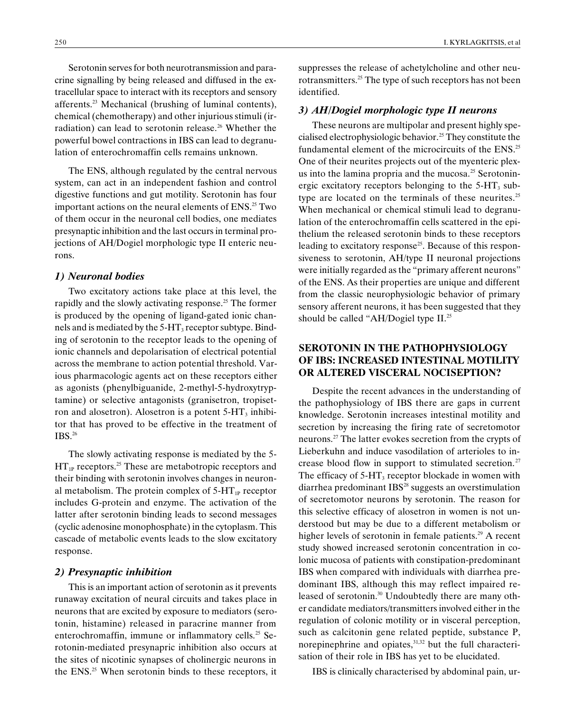Serotonin serves for both neurotransmission and paracrine signalling by being released and diffused in the extracellular space to interact with its receptors and sensory afferents.23 Mechanical (brushing of luminal contents), chemical (chemotherapy) and other injurious stimuli (irradiation) can lead to serotonin release.<sup>26</sup> Whether the powerful bowel contractions in IBS can lead to degranulation of enterochromaffin cells remains unknown.

The ENS, although regulated by the central nervous system, can act in an independent fashion and control digestive functions and gut motility. Serotonin has four important actions on the neural elements of  $ENS<sup>25</sup> Two$ of them occur in the neuronal cell bodies, one mediates presynaptic inhibition and the last occurs in terminal projections of AH/Dogiel morphologic type II enteric neurons.

#### 1) Neuronal bodies

Two excitatory actions take place at this level, the rapidly and the slowly activating response.<sup>25</sup> The former is produced by the opening of ligand-gated ionic channels and is mediated by the  $5-HT_3$  receptor subtype. Binding of serotonin to the receptor leads to the opening of ionic channels and depolarisation of electrical potential across the membrane to action potential threshold. Various pharmacologic agents act on these receptors either as agonists (phenylbiguanide, 2-methyl-5-hydroxytryptamine) or selective antagonists (granisetron, tropisetron and alosetron). Alosetron is a potent  $5-HT<sub>3</sub>$  inhibitor that has proved to be effective in the treatment of IBS.26

The slowly activating response is mediated by the 5-  $HT_{1P}$  receptors.<sup>25</sup> These are metabotropic receptors and their binding with serotonin involves changes in neuronal metabolism. The protein complex of  $5-HT_{1P}$  receptor includes G-protein and enzyme. The activation of the latter after serotonin binding leads to second messages (cyclic adenosine monophosphate) in the cytoplasm. This cascade of metabolic events leads to the slow excitatory response.

### 2) Presynaptic inhibition

This is an important action of serotonin as it prevents runaway excitation of neural circuits and takes place in neurons that are excited by exposure to mediators (serotonin, histamine) released in paracrine manner from enterochromaffin, immune or inflammatory cells.<sup>25</sup> Serotonin-mediated presynapric inhibition also occurs at the sites of nicotinic synapses of cholinergic neurons in the ENS.<sup>25</sup> When serotonin binds to these receptors, it suppresses the release of achetylcholine and other neurotransmitters.25 The type of such receptors has not been identified.

#### 3) AH/Dogiel morphologic type II neurons

These neurons are multipolar and present highly specialised electrophysiologic behavior.25 They constitute the fundamental element of the microcircuits of the ENS.<sup>25</sup> One of their neurites projects out of the myenteric plexus into the lamina propria and the mucosa.<sup>25</sup> Serotoninergic excitatory receptors belonging to the  $5-HT_3$  subtype are located on the terminals of these neurites.<sup>25</sup> When mechanical or chemical stimuli lead to degranulation of the enterochromaffin cells scattered in the epithelium the released serotonin binds to these receptors leading to excitatory response<sup>25</sup>. Because of this responsiveness to serotonin, AH/type II neuronal projections were initially regarded as the "primary afferent neurons" of the ENS. As their properties are unique and different from the classic neurophysiologic behavior of primary sensory afferent neurons, it has been suggested that they should be called "AH/Dogiel type  $II.^{25}$ 

# SEROTONIN IN THE PATHOPHYSIOLOGY OF IBS: INCREASED INTESTINAL MOTILITY OR ALTERED VISCERAL NOCISEPTION?

Despite the recent advances in the understanding of the pathophysiology of IBS there are gaps in current knowledge. Serotonin increases intestinal motility and secretion by increasing the firing rate of secretomotor neurons.27 The latter evokes secretion from the crypts of Lieberkuhn and induce vasodilation of arterioles to increase blood flow in support to stimulated secretion.<sup>27</sup> The efficacy of  $5-HT_3$  receptor blockade in women with diarrhea predominant IBS<sup>28</sup> suggests an overstimulation of secretomotor neurons by serotonin. The reason for this selective efficacy of alosetron in women is not understood but may be due to a different metabolism or higher levels of serotonin in female patients.<sup>29</sup> A recent study showed increased serotonin concentration in colonic mucosa of patients with constipation-predominant IBS when compared with individuals with diarrhea predominant IBS, although this may reflect impaired released of serotonin.<sup>30</sup> Undoubtedly there are many other candidate mediators/transmitters involved either in the regulation of colonic motility or in visceral perception, such as calcitonin gene related peptide, substance P, norepinephrine and opiates, $31,32$  but the full characterisation of their role in IBS has yet to be elucidated.

IBS is clinically characterised by abdominal pain, ur-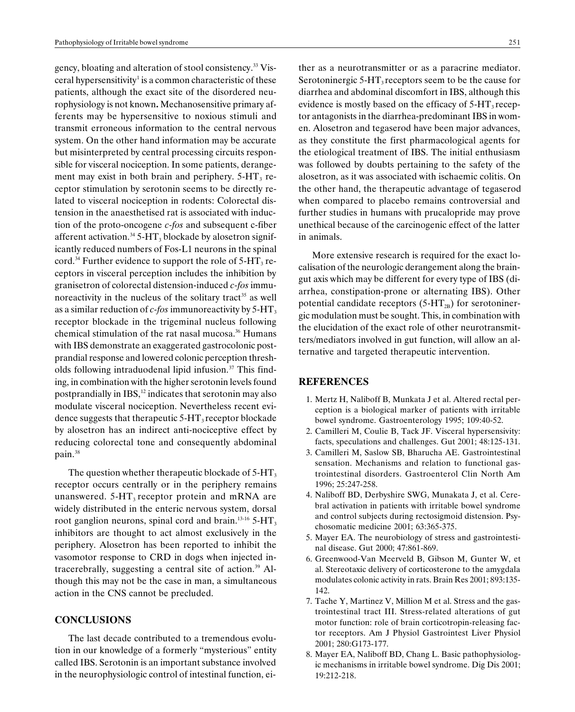gency, bloating and alteration of stool consistency.33 Visceral hypersensitivity<sup>1</sup> is a common characteristic of these patients, although the exact site of the disordered neurophysiology is not known. Mechanosensitive primary afferents may be hypersensitive to noxious stimuli and transmit erroneous information to the central nervous system. On the other hand information may be accurate but misinterpreted by central processing circuits responsible for visceral nociception. In some patients, derangement may exist in both brain and periphery.  $5-\text{HT}_3$  receptor stimulation by serotonin seems to be directly related to visceral nociception in rodents: Colorectal distension in the anaesthetised rat is associated with induction of the proto-oncogene c-fos and subsequent c-fiber afferent activation.<sup>34</sup> 5-HT<sub>3</sub> blockade by alosetron significantly reduced numbers of Fos-L1 neurons in the spinal cord.<sup>34</sup> Further evidence to support the role of  $5-HT_3$  receptors in visceral perception includes the inhibition by granisetron of colorectal distension-induced c-fos immunoreactivity in the nucleus of the solitary tract<sup>35</sup> as well as a similar reduction of  $c$ -fos immunoreactivity by 5-HT<sub>3</sub> receptor blockade in the trigeminal nucleus following chemical stimulation of the rat nasal mucosa.<sup>36</sup> Humans with IBS demonstrate an exaggerated gastrocolonic postprandial response and lowered colonic perception thresholds following intraduodenal lipid infusion.<sup>37</sup> This finding, in combination with the higher serotonin levels found postprandially in  $IBS<sub>1</sub><sup>12</sup>$  indicates that serotonin may also modulate visceral nociception. Nevertheless recent evidence suggests that therapeutic  $5-\text{HT}_3$  receptor blockade by alosetron has an indirect anti-nociceptive effect by reducing colorectal tone and consequently abdominal pain.38

The question whether therapeutic blockade of  $5-HT<sub>3</sub>$ receptor occurs centrally or in the periphery remains unanswered.  $5-HT_3$  receptor protein and mRNA are widely distributed in the enteric nervous system, dorsal root ganglion neurons, spinal cord and brain.<sup>13-16</sup> 5-HT<sub>3</sub> inhibitors are thought to act almost exclusively in the periphery. Alosetron has been reported to inhibit the vasomotor response to CRD in dogs when injected intracerebrally, suggesting a central site of action.<sup>39</sup> Although this may not be the case in man, a simultaneous action in the CNS cannot be precluded.

#### **CONCLUSIONS**

The last decade contributed to a tremendous evolution in our knowledge of a formerly "mysterious" entity called IBS. Serotonin is an important substance involved in the neurophysiologic control of intestinal function, ei-

ther as a neurotransmitter or as a paracrine mediator. Serotoninergic  $5-HT_3$  receptors seem to be the cause for diarrhea and abdominal discomfort in IBS, although this evidence is mostly based on the efficacy of  $5-HT_3$  receptor antagonists in the diarrhea-predominant IBS in women. Alosetron and tegaserod have been major advances, as they constitute the first pharmacological agents for the etiological treatment of IBS. The initial enthusiasm was followed by doubts pertaining to the safety of the alosetron, as it was associated with ischaemic colitis. On the other hand, the therapeutic advantage of tegaserod when compared to placebo remains controversial and further studies in humans with prucalopride may prove unethical because of the carcinogenic effect of the latter in animals.

More extensive research is required for the exact localisation of the neurologic derangement along the braingut axis which may be different for every type of IBS (diarrhea, constipation-prone or alternating IBS). Other potential candidate receptors  $(5-HT_{2B})$  for serotoninergic modulation must be sought. This, in combination with the elucidation of the exact role of other neurotransmitters/mediators involved in gut function, will allow an alternative and targeted therapeutic intervention.

#### REFERENCES

- 1. Mertz H, Naliboff B, Munkata J et al. Altered rectal perception is a biological marker of patients with irritable bowel syndrome. Gastroenterology 1995; 109:40-52.
- 2. Camilleri M, Coulie B, Tack JF. Visceral hypersensivity: facts, speculations and challenges. Gut 2001; 48:125-131.
- 3. Camilleri M, Saslow SB, Bharucha AE. Gastrointestinal sensation. Mechanisms and relation to functional gastrointestinal disorders. Gastroenterol Clin North Am 1996; 25:247-258.
- 4. Naliboff BD, Derbyshire SWG, Munakata J, et al. Cerebral activation in patients with irritable bowel syndrome and control subjects during rectosigmoid distension. Psychosomatic medicine 2001; 63:365-375.
- 5. Mayer EA. The neurobiology of stress and gastrointestinal disease. Gut 2000; 47:861-869.
- 6. Greenwood-Van Meerveld B, Gibson M, Gunter W, et al. Stereotaxic delivery of corticosterone to the amygdala modulates colonic activity in rats. Brain Res 2001; 893:135- 142.
- 7. Tache Y, Martinez V, Million M et al. Stress and the gastrointestinal tract III. Stress-related alterations of gut motor function: role of brain corticotropin-releasing factor receptors. Am J Physiol Gastrointest Liver Physiol 2001; 280:G173-177.
- 8. Mayer EA, Naliboff BD, Chang L. Basic pathophysiologic mechanisms in irritable bowel syndrome. Dig Dis 2001; 19:212-218.